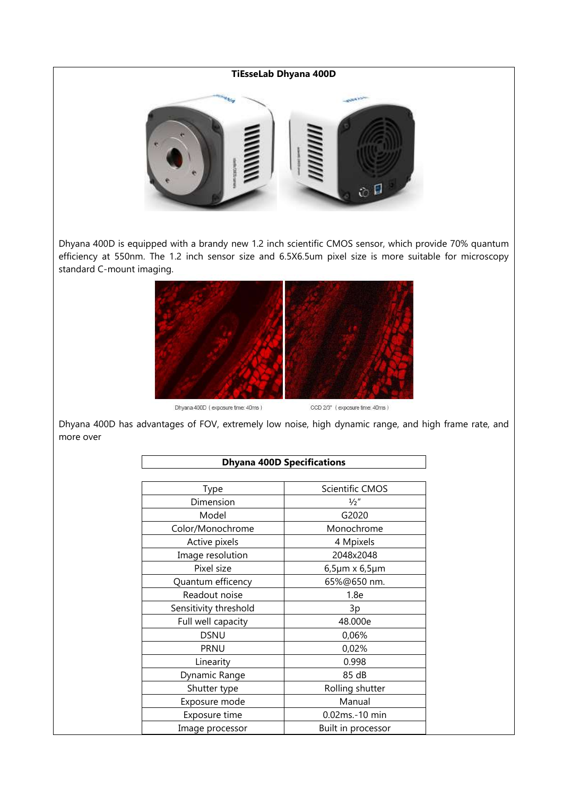# **TiEsseLab Dhyana 400D**



Dhyana 400D is equipped with a brandy new 1.2 inch scientific CMOS sensor, which provide 70% quantum efficiency at 550nm. The 1.2 inch sensor size and 6.5X6.5um pixel size is more suitable for microscopy standard C-mount imaging.



Dhyana 400D (exposure time: 40ms)

CCD 2/3" (exposure time: 40ms)

Dhyana 400D has advantages of FOV, extremely low noise, high dynamic range, and high frame rate, and more over

| <b>Dhyana 400D Specifications</b> |                            |
|-----------------------------------|----------------------------|
|                                   |                            |
| Type                              | <b>Scientific CMOS</b>     |
| Dimension                         | $\frac{1}{2}$ "            |
| Model                             | G2020                      |
| Color/Monochrome                  | Monochrome                 |
| Active pixels                     | 4 Mpixels                  |
| Image resolution                  | 2048x2048                  |
| Pixel size                        | $6,5\mu m \times 6,5\mu m$ |
| Quantum efficency                 | 65%@650 nm.                |
| Readout noise                     | 1.8e                       |
| Sensitivity threshold             | 3p                         |
| Full well capacity                | 48.000e                    |
| <b>DSNU</b>                       | 0,06%                      |
| <b>PRNU</b>                       | 0,02%                      |
| Linearity                         | 0.998                      |
| Dynamic Range                     | 85 dB                      |
| Shutter type                      | Rolling shutter            |
| Exposure mode                     | Manual                     |
| Exposure time                     | 0.02ms.-10 min             |
| Image processor                   | Built in processor         |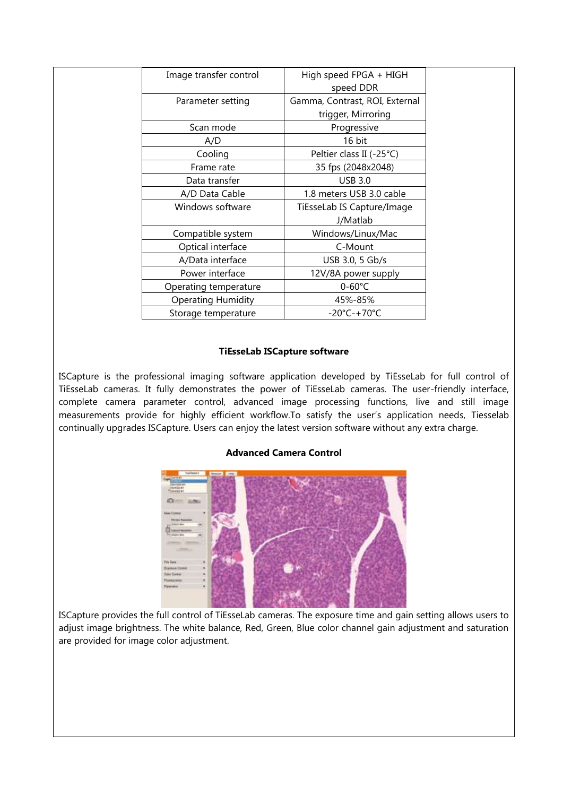| Image transfer control    | High speed FPGA + HIGH           |  |
|---------------------------|----------------------------------|--|
|                           | speed DDR                        |  |
| Parameter setting         | Gamma, Contrast, ROI, External   |  |
|                           | trigger, Mirroring               |  |
| Scan mode                 | Progressive                      |  |
| A/D                       | 16 bit                           |  |
| Cooling                   | Peltier class II (-25°C)         |  |
| Frame rate                | 35 fps (2048x2048)               |  |
| Data transfer             | <b>USB 3.0</b>                   |  |
| A/D Data Cable            | 1.8 meters USB 3.0 cable         |  |
| Windows software          | TiEsseLab IS Capture/Image       |  |
|                           | J/Matlab                         |  |
| Compatible system         | Windows/Linux/Mac                |  |
| Optical interface         | C-Mount                          |  |
| A/Data interface          | USB 3.0, 5 Gb/s                  |  |
| Power interface           | 12V/8A power supply              |  |
| Operating temperature     | $0 - 60^{\circ}$ C               |  |
| <b>Operating Humidity</b> | 45%-85%                          |  |
| Storage temperature       | $-20^{\circ}$ C $-+70^{\circ}$ C |  |

## **TiEsseLab ISCapture software**

ISCapture is the professional imaging software application developed by TiEsseLab for full control of TiEsseLab cameras. It fully demonstrates the power of TiEsseLab cameras. The user-friendly interface, complete camera parameter control, advanced image processing functions, live and still image measurements provide for highly efficient workflow.To satisfy the user's application needs, Tiesselab continually upgrades ISCapture. Users can enjoy the latest version software without any extra charge.

# **Advanced Camera Control**



ISCapture provides the full control of TiEsseLab cameras. The exposure time and gain setting allows users to adjust image brightness. The white balance, Red, Green, Blue color channel gain adjustment and saturation are provided for image color adjustment.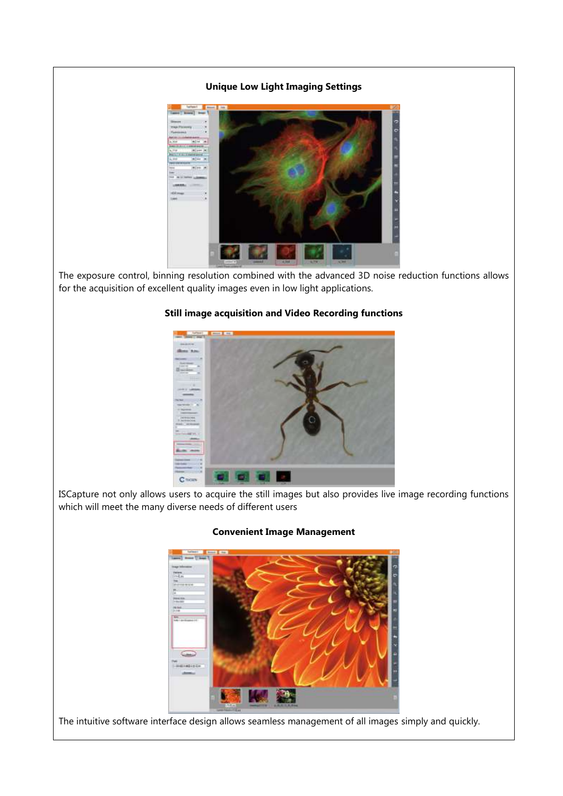## **Unique Low Light Imaging Settings**



The exposure control, binning resolution combined with the advanced 3D noise reduction functions allows for the acquisition of excellent quality images even in low light applications.

## **Still image acquisition and Video Recording functions**



ISCapture not only allows users to acquire the still images but also provides live image recording functions which will meet the many diverse needs of different users

#### **Convenient Image Management**

The intuitive software interface design allows seamless management of all images simply and quickly.